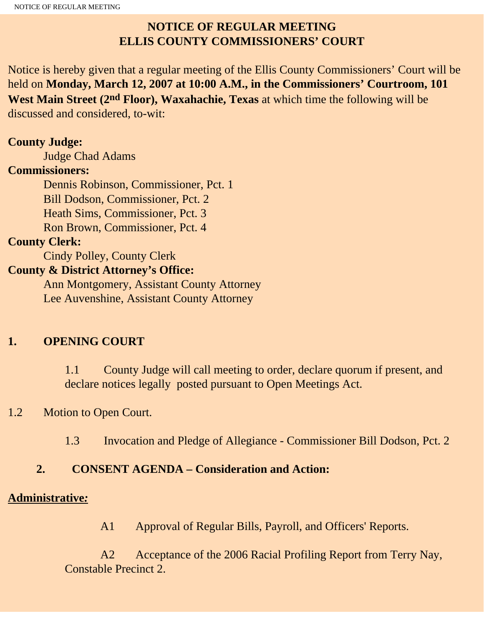## **NOTICE OF REGULAR MEETING ELLIS COUNTY COMMISSIONERS' COURT**

Notice is hereby given that a regular meeting of the Ellis County Commissioners' Court will be held on **Monday, March 12, 2007 at 10:00 A.M., in the Commissioners' Courtroom, 101 West Main Street (2nd Floor), Waxahachie, Texas** at which time the following will be discussed and considered, to-wit:

#### **County Judge:**

Judge Chad Adams

#### **Commissioners:**

 Dennis Robinson, Commissioner, Pct. 1 Bill Dodson, Commissioner, Pct. 2 Heath Sims, Commissioner, Pct. 3 Ron Brown, Commissioner, Pct. 4

#### **County Clerk:**

Cindy Polley, County Clerk

#### **County & District Attorney's Office:**

 Ann Montgomery, Assistant County Attorney Lee Auvenshine, Assistant County Attorney

## **1. OPENING COURT**

1.1 County Judge will call meeting to order, declare quorum if present, and declare notices legally posted pursuant to Open Meetings Act.

## 1.2 Motion to Open Court.

1.3 Invocation and Pledge of Allegiance - Commissioner Bill Dodson, Pct. 2

## **2. CONSENT AGENDA – Consideration and Action:**

#### **Administrative***:*

A1 Approval of Regular Bills, Payroll, and Officers' Reports.

A2 Acceptance of the 2006 Racial Profiling Report from Terry Nay, Constable Precinct 2.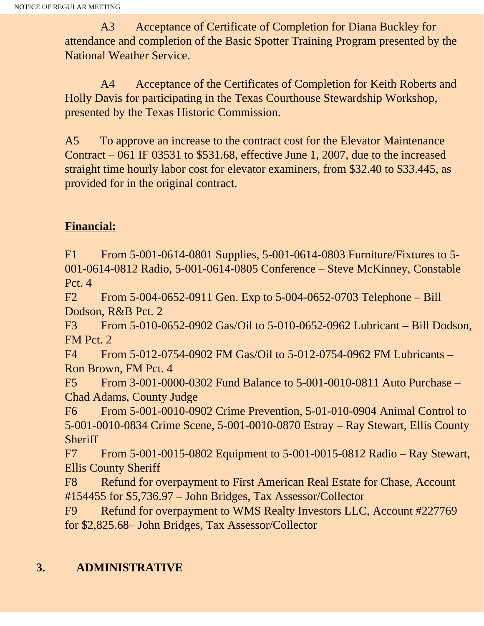A3 Acceptance of Certificate of Completion for Diana Buckley for attendance and completion of the Basic Spotter Training Program presented by the National Weather Service.

A4 Acceptance of the Certificates of Completion for Keith Roberts and Holly Davis for participating in the Texas Courthouse Stewardship Workshop, presented by the Texas Historic Commission.

A5 To approve an increase to the contract cost for the Elevator Maintenance Contract – 061 IF 03531 to \$531.68, effective June 1, 2007, due to the increased straight time hourly labor cost for elevator examiners, from \$32.40 to \$33.445, as provided for in the original contract.

## **Financial:**

F1 From 5-001-0614-0801 Supplies, 5-001-0614-0803 Furniture/Fixtures to 5- 001-0614-0812 Radio, 5-001-0614-0805 Conference – Steve McKinney, Constable Pct. 4

F2 From 5-004-0652-0911 Gen. Exp to 5-004-0652-0703 Telephone – Bill Dodson, R&B Pct. 2

F3 From 5-010-0652-0902 Gas/Oil to 5-010-0652-0962 Lubricant – Bill Dodson, FM Pct. 2

F4 From 5-012-0754-0902 FM Gas/Oil to 5-012-0754-0962 FM Lubricants – Ron Brown, FM Pct. 4

F5 From 3-001-0000-0302 Fund Balance to 5-001-0010-0811 Auto Purchase – Chad Adams, County Judge

F6 From 5-001-0010-0902 Crime Prevention, 5-01-010-0904 Animal Control to 5-001-0010-0834 Crime Scene, 5-001-0010-0870 Estray – Ray Stewart, Ellis County **Sheriff** 

F7 From 5-001-0015-0802 Equipment to 5-001-0015-0812 Radio – Ray Stewart, Ellis County Sheriff

F8 Refund for overpayment to First American Real Estate for Chase, Account #154455 for \$5,736.97 – John Bridges, Tax Assessor/Collector

F9 Refund for overpayment to WMS Realty Investors LLC, Account #227769 for \$2,825.68– John Bridges, Tax Assessor/Collector

## **3. ADMINISTRATIVE**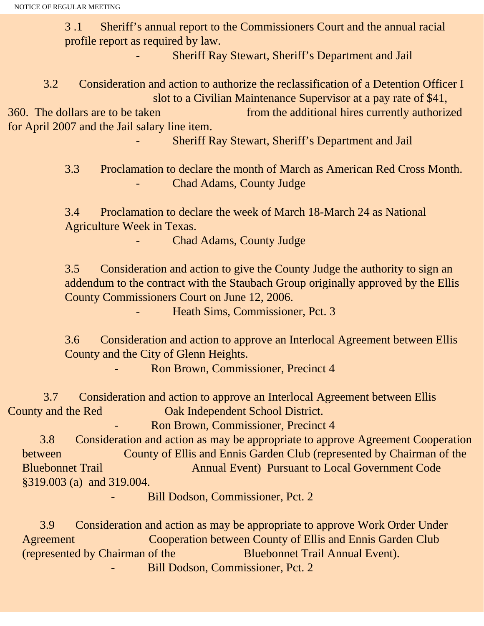NOTICE OF REGULAR MEETING

3 .1 Sheriff's annual report to the Commissioners Court and the annual racial profile report as required by law.

Sheriff Ray Stewart, Sheriff's Department and Jail

 3.2 Consideration and action to authorize the reclassification of a Detention Officer I slot to a Civilian Maintenance Supervisor at a pay rate of \$41,

360. The dollars are to be taken from the additional hires currently authorized for April 2007 and the Jail salary line item.

Sheriff Ray Stewart, Sheriff's Department and Jail

3.3 Proclamation to declare the month of March as American Red Cross Month. Chad Adams, County Judge

3.4 Proclamation to declare the week of March 18-March 24 as National Agriculture Week in Texas.

Chad Adams, County Judge

3.5 Consideration and action to give the County Judge the authority to sign an addendum to the contract with the Staubach Group originally approved by the Ellis County Commissioners Court on June 12, 2006.

Heath Sims, Commissioner, Pct. 3

3.6 Consideration and action to approve an Interlocal Agreement between Ellis County and the City of Glenn Heights.

Ron Brown, Commissioner, Precinct 4

 3.7 Consideration and action to approve an Interlocal Agreement between Ellis County and the Red Oak Independent School District.

Ron Brown, Commissioner, Precinct 4

 3.8 Consideration and action as may be appropriate to approve Agreement Cooperation **between County of Ellis and Ennis Garden Club (represented by Chairman of the** Bluebonnet Trail Annual Event) Pursuant to Local Government Code §319.003 (a) and 319.004.

Bill Dodson, Commissioner, Pct. 2

 3.9 Consideration and action as may be appropriate to approve Work Order Under Agreement Cooperation between County of Ellis and Ennis Garden Club (represented by Chairman of the Bluebonnet Trail Annual Event). Bill Dodson, Commissioner, Pct. 2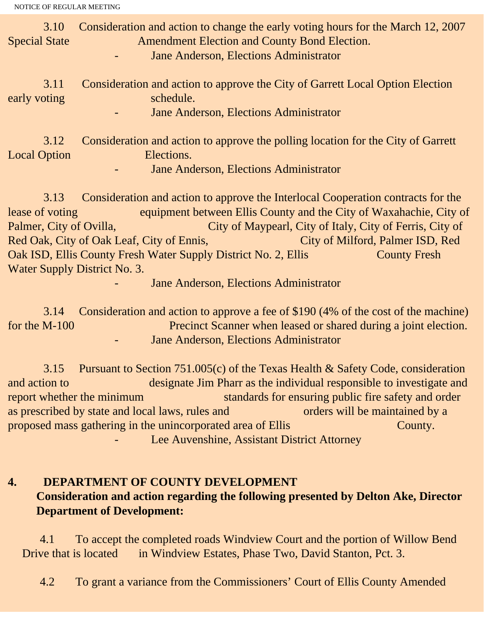| 3.10<br><b>Special State</b> | Consideration and action to change the early voting hours for the March 12, 2007<br><b>Amendment Election and County Bond Election.</b><br>Jane Anderson, Elections Administrator |
|------------------------------|-----------------------------------------------------------------------------------------------------------------------------------------------------------------------------------|
| 3.11<br>early voting         | Consideration and action to approve the City of Garrett Local Option Election<br>schedule.<br>Jane Anderson, Elections Administrator                                              |
| 3.12<br><b>Local Option</b>  | Consideration and action to approve the polling location for the City of Garrett<br>Elections.<br>Jane Anderson, Elections Administrator                                          |
|                              | 2.12 Consideration and estion to environ the Interlocal Cooperation contracts for the                                                                                             |

 3.13 Consideration and action to approve the Interlocal Cooperation contracts for the lease of voting equipment between Ellis County and the City of Waxahachie, City of Palmer, City of Ovilla, City of Maypearl, City of Italy, City of Ferris, City of Red Oak, City of Oak Leaf, City of Ennis, City of Milford, Palmer ISD, Red Oak ISD, Ellis County Fresh Water Supply District No. 2, Ellis County Fresh Water Supply District No. 3.

Jane Anderson, Elections Administrator

 3.14 Consideration and action to approve a fee of \$190 (4% of the cost of the machine) for the M-100 Precinct Scanner when leased or shared during a joint election. Jane Anderson, Elections Administrator

 3.15 Pursuant to Section 751.005(c) of the Texas Health & Safety Code, consideration and action to designate Jim Pharr as the individual responsible to investigate and report whether the minimum standards for ensuring public fire safety and order as prescribed by state and local laws, rules and orders will be maintained by a proposed mass gathering in the unincorporated area of Ellis County. Lee Auvenshine, Assistant District Attorney

**4. DEPARTMENT OF COUNTY DEVELOPMENT Consideration and action regarding the following presented by Delton Ake, Director Department of Development:**

 4.1 To accept the completed roads Windview Court and the portion of Willow Bend Drive that is located in Windview Estates, Phase Two, David Stanton, Pct. 3.

4.2 To grant a variance from the Commissioners' Court of Ellis County Amended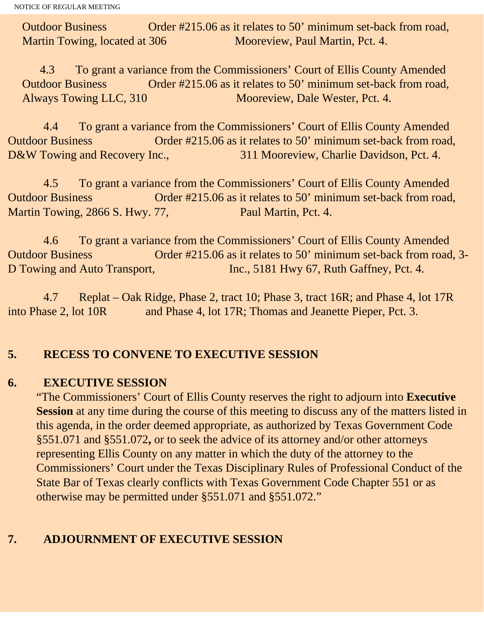Outdoor Business Order #215.06 as it relates to 50' minimum set-back from road, Martin Towing, located at 306 Mooreview, Paul Martin, Pct. 4.

 4.3 To grant a variance from the Commissioners' Court of Ellis County Amended Outdoor Business Order #215.06 as it relates to 50' minimum set-back from road, Always Towing LLC, 310 Mooreview, Dale Wester, Pct. 4.

 4.4 To grant a variance from the Commissioners' Court of Ellis County Amended Outdoor Business Order #215.06 as it relates to 50' minimum set-back from road, D&W Towing and Recovery Inc., 311 Mooreview, Charlie Davidson, Pct. 4.

 4.5 To grant a variance from the Commissioners' Court of Ellis County Amended Outdoor Business Order #215.06 as it relates to 50' minimum set-back from road, Martin Towing, 2866 S. Hwy. 77, Paul Martin, Pct. 4.

 4.6 To grant a variance from the Commissioners' Court of Ellis County Amended Outdoor Business Order #215.06 as it relates to 50' minimum set-back from road, 3- D Towing and Auto Transport, Inc., 5181 Hwy 67, Ruth Gaffney, Pct. 4.

 4.7 Replat – Oak Ridge, Phase 2, tract 10; Phase 3, tract 16R; and Phase 4, lot 17R into Phase 2, lot 10R and Phase 4, lot 17R; Thomas and Jeanette Pieper, Pct. 3.

### **5. RECESS TO CONVENE TO EXECUTIVE SESSION**

#### **6. EXECUTIVE SESSION**

"The Commissioners' Court of Ellis County reserves the right to adjourn into **Executive Session** at any time during the course of this meeting to discuss any of the matters listed in this agenda, in the order deemed appropriate, as authorized by Texas Government Code §551.071 and §551.072**,** or to seek the advice of its attorney and/or other attorneys representing Ellis County on any matter in which the duty of the attorney to the Commissioners' Court under the Texas Disciplinary Rules of Professional Conduct of the State Bar of Texas clearly conflicts with Texas Government Code Chapter 551 or as otherwise may be permitted under §551.071 and §551.072."

# **7. ADJOURNMENT OF EXECUTIVE SESSION**